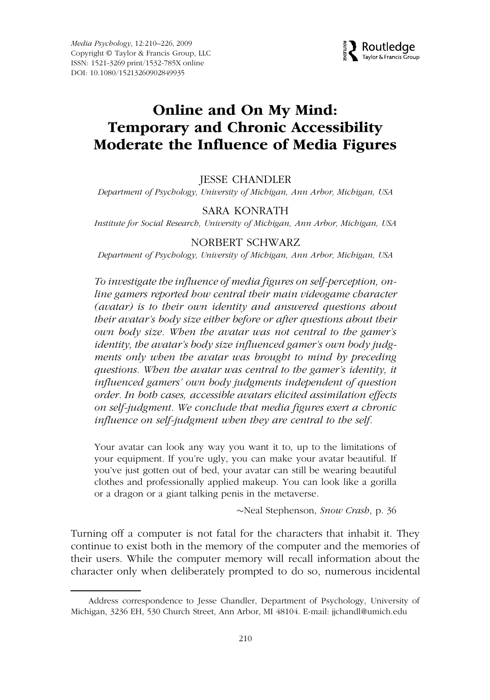



# Online and On My Mind: Temporary and Chronic Accessibility Moderate the Influence of Media Figures

## JESSE CHANDLER

Department of Psychology, University of Michigan, Ann Arbor, Michigan, USA

#### SARA KONRATH

Institute for Social Research, University of Michigan, Ann Arbor, Michigan, USA

#### NORBERT SCHWARZ

Department of Psychology, University of Michigan, Ann Arbor, Michigan, USA

To investigate the influence of media figures on self-perception, online gamers reported how central their main videogame character (avatar) is to their own identity and answered questions about their avatar's body size either before or after questions about their own body size. When the avatar was not central to the gamer's identity, the avatar's body size influenced gamer's own body judgments only when the avatar was brought to mind by preceding questions. When the avatar was central to the gamer's identity, it influenced gamers' own body judgments independent of question order. In both cases, accessible avatars elicited assimilation effects on self-judgment. We conclude that media figures exert a chronic influence on self-judgment when they are central to the self.

Your avatar can look any way you want it to, up to the limitations of your equipment. If you're ugly, you can make your avatar beautiful. If you've just gotten out of bed, your avatar can still be wearing beautiful clothes and professionally applied makeup. You can look like a gorilla or a dragon or a giant talking penis in the metaverse.

 $\sim$ Neal Stephenson, *Snow Crash*, p. 36

Turning off a computer is not fatal for the characters that inhabit it. They continue to exist both in the memory of the computer and the memories of their users. While the computer memory will recall information about the character only when deliberately prompted to do so, numerous incidental

Address correspondence to Jesse Chandler, Department of Psychology, University of Michigan, 3236 EH, 530 Church Street, Ann Arbor, MI 48104. E-mail: jjchandl@umich.edu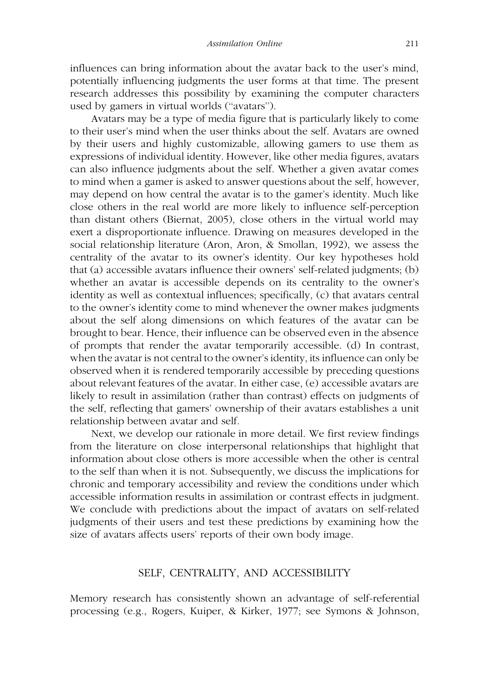influences can bring information about the avatar back to the user's mind, potentially influencing judgments the user forms at that time. The present research addresses this possibility by examining the computer characters used by gamers in virtual worlds (''avatars'').

Avatars may be a type of media figure that is particularly likely to come to their user's mind when the user thinks about the self. Avatars are owned by their users and highly customizable, allowing gamers to use them as expressions of individual identity. However, like other media figures, avatars can also influence judgments about the self. Whether a given avatar comes to mind when a gamer is asked to answer questions about the self, however, may depend on how central the avatar is to the gamer's identity. Much like close others in the real world are more likely to influence self-perception than distant others (Biernat, 2005), close others in the virtual world may exert a disproportionate influence. Drawing on measures developed in the social relationship literature (Aron, Aron, & Smollan, 1992), we assess the centrality of the avatar to its owner's identity. Our key hypotheses hold that (a) accessible avatars influence their owners' self-related judgments; (b) whether an avatar is accessible depends on its centrality to the owner's identity as well as contextual influences; specifically, (c) that avatars central to the owner's identity come to mind whenever the owner makes judgments about the self along dimensions on which features of the avatar can be brought to bear. Hence, their influence can be observed even in the absence of prompts that render the avatar temporarily accessible. (d) In contrast, when the avatar is not central to the owner's identity, its influence can only be observed when it is rendered temporarily accessible by preceding questions about relevant features of the avatar. In either case, (e) accessible avatars are likely to result in assimilation (rather than contrast) effects on judgments of the self, reflecting that gamers' ownership of their avatars establishes a unit relationship between avatar and self.

Next, we develop our rationale in more detail. We first review findings from the literature on close interpersonal relationships that highlight that information about close others is more accessible when the other is central to the self than when it is not. Subsequently, we discuss the implications for chronic and temporary accessibility and review the conditions under which accessible information results in assimilation or contrast effects in judgment. We conclude with predictions about the impact of avatars on self-related judgments of their users and test these predictions by examining how the size of avatars affects users' reports of their own body image.

## SELF, CENTRALITY, AND ACCESSIBILITY

Memory research has consistently shown an advantage of self-referential processing (e.g., Rogers, Kuiper, & Kirker, 1977; see Symons & Johnson,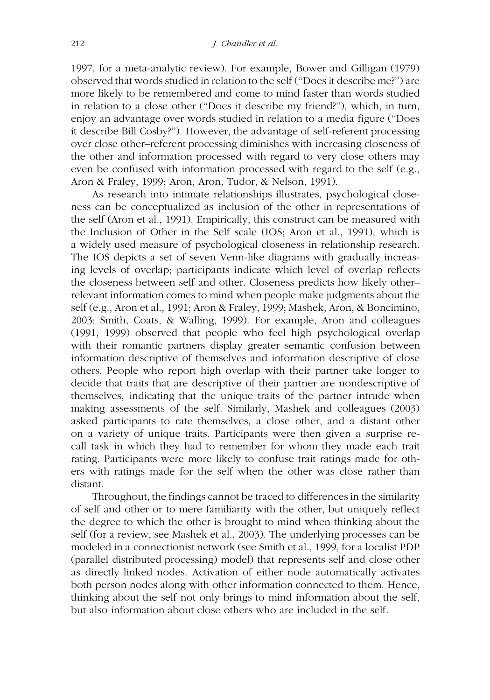1997, for a meta-analytic review). For example, Bower and Gilligan (1979) observed that words studied in relation to the self (''Does it describe me?'') are more likely to be remembered and come to mind faster than words studied in relation to a close other (''Does it describe my friend?''), which, in turn, enjoy an advantage over words studied in relation to a media figure (''Does it describe Bill Cosby?''). However, the advantage of self-referent processing over close other–referent processing diminishes with increasing closeness of the other and information processed with regard to very close others may even be confused with information processed with regard to the self (e.g., Aron & Fraley, 1999; Aron, Aron, Tudor, & Nelson, 1991).

As research into intimate relationships illustrates, psychological closeness can be conceptualized as inclusion of the other in representations of the self (Aron et al., 1991). Empirically, this construct can be measured with the Inclusion of Other in the Self scale (IOS; Aron et al., 1991), which is a widely used measure of psychological closeness in relationship research. The IOS depicts a set of seven Venn-like diagrams with gradually increasing levels of overlap; participants indicate which level of overlap reflects the closeness between self and other. Closeness predicts how likely other– relevant information comes to mind when people make judgments about the self (e.g., Aron et al., 1991; Aron & Fraley, 1999; Mashek, Aron, & Boncimino, 2003; Smith, Coats, & Walling, 1999). For example, Aron and colleagues (1991, 1999) observed that people who feel high psychological overlap with their romantic partners display greater semantic confusion between information descriptive of themselves and information descriptive of close others. People who report high overlap with their partner take longer to decide that traits that are descriptive of their partner are nondescriptive of themselves, indicating that the unique traits of the partner intrude when making assessments of the self. Similarly, Mashek and colleagues (2003) asked participants to rate themselves, a close other, and a distant other on a variety of unique traits. Participants were then given a surprise recall task in which they had to remember for whom they made each trait rating. Participants were more likely to confuse trait ratings made for others with ratings made for the self when the other was close rather than distant.

Throughout, the findings cannot be traced to differences in the similarity of self and other or to mere familiarity with the other, but uniquely reflect the degree to which the other is brought to mind when thinking about the self (for a review, see Mashek et al., 2003). The underlying processes can be modeled in a connectionist network (see Smith et al., 1999, for a localist PDP (parallel distributed processing) model) that represents self and close other as directly linked nodes. Activation of either node automatically activates both person nodes along with other information connected to them. Hence, thinking about the self not only brings to mind information about the self, but also information about close others who are included in the self.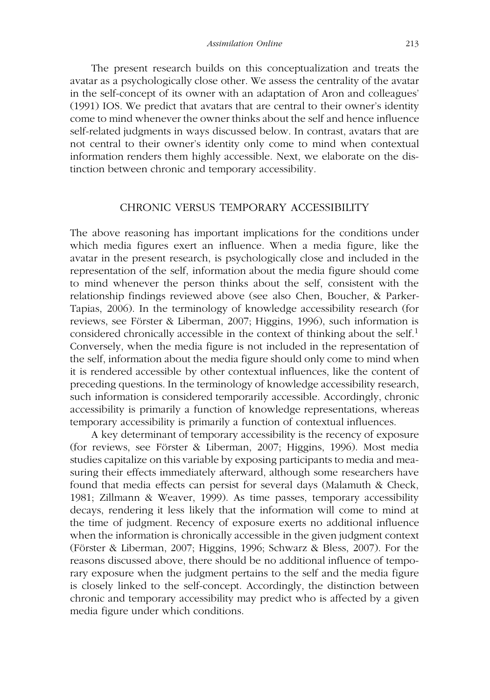The present research builds on this conceptualization and treats the avatar as a psychologically close other. We assess the centrality of the avatar in the self-concept of its owner with an adaptation of Aron and colleagues' (1991) IOS. We predict that avatars that are central to their owner's identity come to mind whenever the owner thinks about the self and hence influence self-related judgments in ways discussed below. In contrast, avatars that are not central to their owner's identity only come to mind when contextual information renders them highly accessible. Next, we elaborate on the distinction between chronic and temporary accessibility.

## CHRONIC VERSUS TEMPORARY ACCESSIBILITY

The above reasoning has important implications for the conditions under which media figures exert an influence. When a media figure, like the avatar in the present research, is psychologically close and included in the representation of the self, information about the media figure should come to mind whenever the person thinks about the self, consistent with the relationship findings reviewed above (see also Chen, Boucher, & Parker-Tapias, 2006). In the terminology of knowledge accessibility research (for reviews, see Förster & Liberman, 2007; Higgins, 1996), such information is considered chronically accessible in the context of thinking about the self.<sup>1</sup> Conversely, when the media figure is not included in the representation of the self, information about the media figure should only come to mind when it is rendered accessible by other contextual influences, like the content of preceding questions. In the terminology of knowledge accessibility research, such information is considered temporarily accessible. Accordingly, chronic accessibility is primarily a function of knowledge representations, whereas temporary accessibility is primarily a function of contextual influences.

A key determinant of temporary accessibility is the recency of exposure (for reviews, see Förster & Liberman, 2007; Higgins, 1996). Most media studies capitalize on this variable by exposing participants to media and measuring their effects immediately afterward, although some researchers have found that media effects can persist for several days (Malamuth & Check, 1981; Zillmann & Weaver, 1999). As time passes, temporary accessibility decays, rendering it less likely that the information will come to mind at the time of judgment. Recency of exposure exerts no additional influence when the information is chronically accessible in the given judgment context (Förster & Liberman, 2007; Higgins, 1996; Schwarz & Bless, 2007). For the reasons discussed above, there should be no additional influence of temporary exposure when the judgment pertains to the self and the media figure is closely linked to the self-concept. Accordingly, the distinction between chronic and temporary accessibility may predict who is affected by a given media figure under which conditions.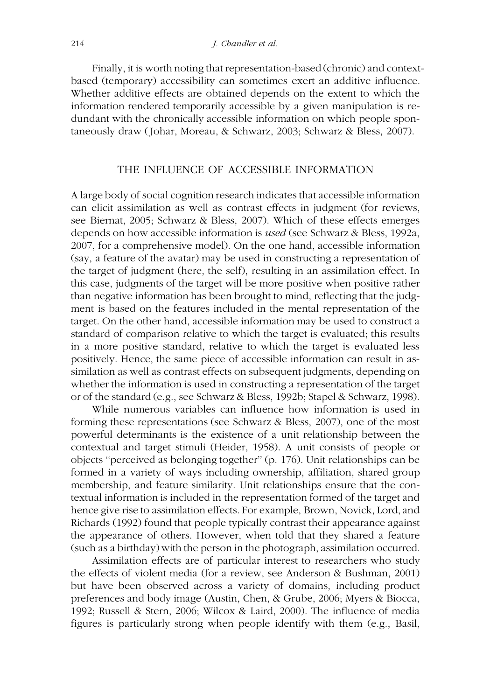Finally, it is worth noting that representation-based (chronic) and contextbased (temporary) accessibility can sometimes exert an additive influence. Whether additive effects are obtained depends on the extent to which the information rendered temporarily accessible by a given manipulation is redundant with the chronically accessible information on which people spontaneously draw ( Johar, Moreau, & Schwarz, 2003; Schwarz & Bless, 2007).

### THE INFLUENCE OF ACCESSIBLE INFORMATION

A large body of social cognition research indicates that accessible information can elicit assimilation as well as contrast effects in judgment (for reviews, see Biernat, 2005; Schwarz & Bless, 2007). Which of these effects emerges depends on how accessible information is used (see Schwarz & Bless, 1992a, 2007, for a comprehensive model). On the one hand, accessible information (say, a feature of the avatar) may be used in constructing a representation of the target of judgment (here, the self), resulting in an assimilation effect. In this case, judgments of the target will be more positive when positive rather than negative information has been brought to mind, reflecting that the judgment is based on the features included in the mental representation of the target. On the other hand, accessible information may be used to construct a standard of comparison relative to which the target is evaluated; this results in a more positive standard, relative to which the target is evaluated less positively. Hence, the same piece of accessible information can result in assimilation as well as contrast effects on subsequent judgments, depending on whether the information is used in constructing a representation of the target or of the standard (e.g., see Schwarz & Bless, 1992b; Stapel & Schwarz, 1998).

While numerous variables can influence how information is used in forming these representations (see Schwarz & Bless, 2007), one of the most powerful determinants is the existence of a unit relationship between the contextual and target stimuli (Heider, 1958). A unit consists of people or objects ''perceived as belonging together'' (p. 176). Unit relationships can be formed in a variety of ways including ownership, affiliation, shared group membership, and feature similarity. Unit relationships ensure that the contextual information is included in the representation formed of the target and hence give rise to assimilation effects. For example, Brown, Novick, Lord, and Richards (1992) found that people typically contrast their appearance against the appearance of others. However, when told that they shared a feature (such as a birthday) with the person in the photograph, assimilation occurred.

Assimilation effects are of particular interest to researchers who study the effects of violent media (for a review, see Anderson & Bushman, 2001) but have been observed across a variety of domains, including product preferences and body image (Austin, Chen, & Grube, 2006; Myers & Biocca, 1992; Russell & Stern, 2006; Wilcox & Laird, 2000). The influence of media figures is particularly strong when people identify with them (e.g., Basil,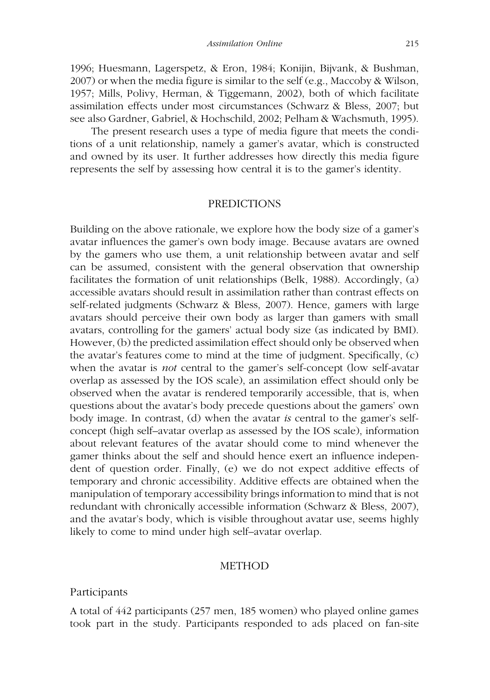1996; Huesmann, Lagerspetz, & Eron, 1984; Konijin, Bijvank, & Bushman, 2007) or when the media figure is similar to the self (e.g., Maccoby & Wilson, 1957; Mills, Polivy, Herman, & Tiggemann, 2002), both of which facilitate assimilation effects under most circumstances (Schwarz & Bless, 2007; but see also Gardner, Gabriel, & Hochschild, 2002; Pelham & Wachsmuth, 1995).

The present research uses a type of media figure that meets the conditions of a unit relationship, namely a gamer's avatar, which is constructed and owned by its user. It further addresses how directly this media figure represents the self by assessing how central it is to the gamer's identity.

#### PREDICTIONS

Building on the above rationale, we explore how the body size of a gamer's avatar influences the gamer's own body image. Because avatars are owned by the gamers who use them, a unit relationship between avatar and self can be assumed, consistent with the general observation that ownership facilitates the formation of unit relationships (Belk, 1988). Accordingly, (a) accessible avatars should result in assimilation rather than contrast effects on self-related judgments (Schwarz & Bless, 2007). Hence, gamers with large avatars should perceive their own body as larger than gamers with small avatars, controlling for the gamers' actual body size (as indicated by BMI). However, (b) the predicted assimilation effect should only be observed when the avatar's features come to mind at the time of judgment. Specifically, (c) when the avatar is *not* central to the gamer's self-concept (low self-avatar overlap as assessed by the IOS scale), an assimilation effect should only be observed when the avatar is rendered temporarily accessible, that is, when questions about the avatar's body precede questions about the gamers' own body image. In contrast, (d) when the avatar is central to the gamer's selfconcept (high self–avatar overlap as assessed by the IOS scale), information about relevant features of the avatar should come to mind whenever the gamer thinks about the self and should hence exert an influence independent of question order. Finally, (e) we do not expect additive effects of temporary and chronic accessibility. Additive effects are obtained when the manipulation of temporary accessibility brings information to mind that is not redundant with chronically accessible information (Schwarz & Bless, 2007), and the avatar's body, which is visible throughout avatar use, seems highly likely to come to mind under high self–avatar overlap.

#### **METHOD**

#### Participants

A total of 442 participants (257 men, 185 women) who played online games took part in the study. Participants responded to ads placed on fan-site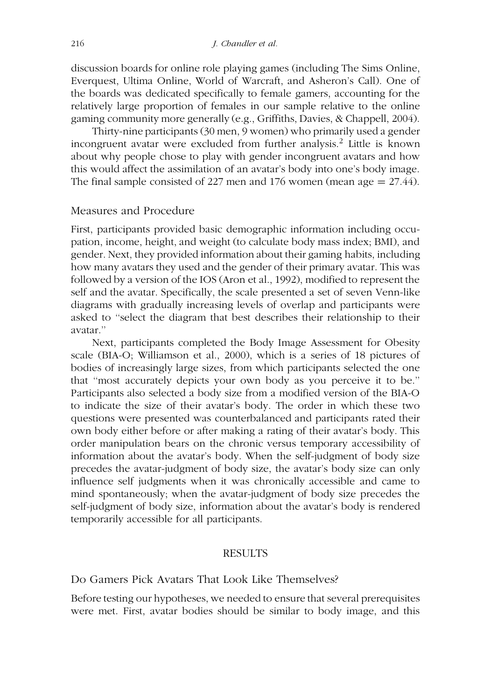discussion boards for online role playing games (including The Sims Online, Everquest, Ultima Online, World of Warcraft, and Asheron's Call). One of the boards was dedicated specifically to female gamers, accounting for the relatively large proportion of females in our sample relative to the online gaming community more generally (e.g., Griffiths, Davies, & Chappell, 2004).

Thirty-nine participants (30 men, 9 women) who primarily used a gender incongruent avatar were excluded from further analysis.<sup>2</sup> Little is known about why people chose to play with gender incongruent avatars and how this would affect the assimilation of an avatar's body into one's body image. The final sample consisted of 227 men and 176 women (mean age  $= 27.44$ ).

#### Measures and Procedure

First, participants provided basic demographic information including occupation, income, height, and weight (to calculate body mass index; BMI), and gender. Next, they provided information about their gaming habits, including how many avatars they used and the gender of their primary avatar. This was followed by a version of the IOS (Aron et al., 1992), modified to represent the self and the avatar. Specifically, the scale presented a set of seven Venn-like diagrams with gradually increasing levels of overlap and participants were asked to ''select the diagram that best describes their relationship to their avatar.''

Next, participants completed the Body Image Assessment for Obesity scale (BIA-O; Williamson et al., 2000), which is a series of 18 pictures of bodies of increasingly large sizes, from which participants selected the one that ''most accurately depicts your own body as you perceive it to be.'' Participants also selected a body size from a modified version of the BIA-O to indicate the size of their avatar's body. The order in which these two questions were presented was counterbalanced and participants rated their own body either before or after making a rating of their avatar's body. This order manipulation bears on the chronic versus temporary accessibility of information about the avatar's body. When the self-judgment of body size precedes the avatar-judgment of body size, the avatar's body size can only influence self judgments when it was chronically accessible and came to mind spontaneously; when the avatar-judgment of body size precedes the self-judgment of body size, information about the avatar's body is rendered temporarily accessible for all participants.

## RESULTS

Do Gamers Pick Avatars That Look Like Themselves?

Before testing our hypotheses, we needed to ensure that several prerequisites were met. First, avatar bodies should be similar to body image, and this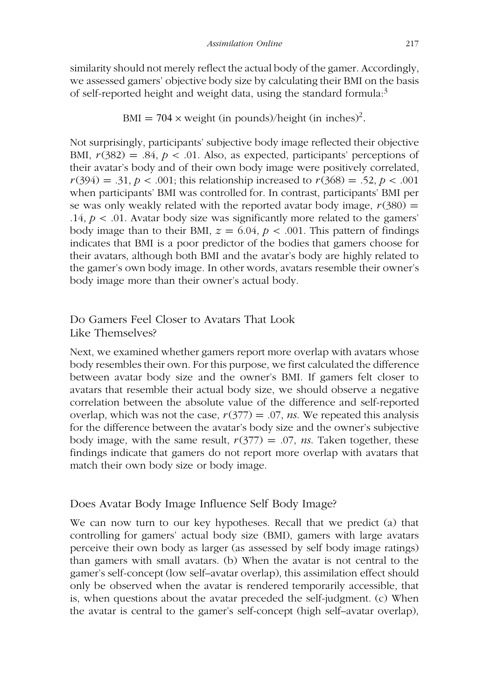similarity should not merely reflect the actual body of the gamer. Accordingly, we assessed gamers' objective body size by calculating their BMI on the basis of self-reported height and weight data, using the standard formula: $3$ 

BMI =  $704 \times$  weight (in pounds)/height (in inches)<sup>2</sup>.

Not surprisingly, participants' subjective body image reflected their objective BMI,  $r(382) = .84$ ,  $p < .01$ . Also, as expected, participants' perceptions of their avatar's body and of their own body image were positively correlated,  $r(394) = .31, p < .001$ ; this relationship increased to  $r(368) = .52, p < .001$ when participants' BMI was controlled for. In contrast, participants' BMI per se was only weakly related with the reported avatar body image,  $r(380) =$ .14,  $p < 0.01$ . Avatar body size was significantly more related to the gamers' body image than to their BMI,  $z = 6.04$ ,  $p < .001$ . This pattern of findings indicates that BMI is a poor predictor of the bodies that gamers choose for their avatars, although both BMI and the avatar's body are highly related to the gamer's own body image. In other words, avatars resemble their owner's body image more than their owner's actual body.

Do Gamers Feel Closer to Avatars That Look Like Themselves?

Next, we examined whether gamers report more overlap with avatars whose body resembles their own. For this purpose, we first calculated the difference between avatar body size and the owner's BMI. If gamers felt closer to avatars that resemble their actual body size, we should observe a negative correlation between the absolute value of the difference and self-reported overlap, which was not the case,  $r(377) = .07$ , ns. We repeated this analysis for the difference between the avatar's body size and the owner's subjective body image, with the same result,  $r(377) = .07$ , ns. Taken together, these findings indicate that gamers do not report more overlap with avatars that match their own body size or body image.

Does Avatar Body Image Influence Self Body Image?

We can now turn to our key hypotheses. Recall that we predict (a) that controlling for gamers' actual body size (BMI), gamers with large avatars perceive their own body as larger (as assessed by self body image ratings) than gamers with small avatars. (b) When the avatar is not central to the gamer's self-concept (low self–avatar overlap), this assimilation effect should only be observed when the avatar is rendered temporarily accessible, that is, when questions about the avatar preceded the self-judgment. (c) When the avatar is central to the gamer's self-concept (high self–avatar overlap),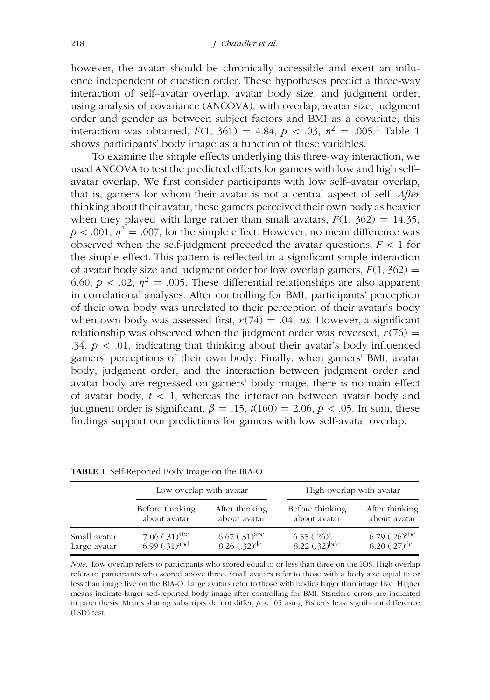however, the avatar should be chronically accessible and exert an influence independent of question order. These hypotheses predict a three-way interaction of self–avatar overlap, avatar body size, and judgment order; using analysis of covariance (ANCOVA), with overlap, avatar size, judgment order and gender as between subject factors and BMI as a covariate, this interaction was obtained,  $F(1, 361) = 4.84$ ,  $p < .03$ ,  $\eta^2 = .005$ .<sup>4</sup> Table 1 shows participants' body image as a function of these variables.

To examine the simple effects underlying this three-way interaction, we used ANCOVA to test the predicted effects for gamers with low and high self– avatar overlap. We first consider participants with low self–avatar overlap, that is, gamers for whom their avatar is not a central aspect of self. After thinking about their avatar, these gamers perceived their own body as heavier when they played with large rather than small avatars,  $F(1, 362) = 14.35$ ,  $p < .001$ ,  $\eta^2 = .007$ , for the simple effect. However, no mean difference was observed when the self-judgment preceded the avatar questions,  $F < 1$  for the simple effect. This pattern is reflected in a significant simple interaction of avatar body size and judgment order for low overlap gamers,  $F(1, 362) =$ 6.60,  $p < .02$ ,  $\eta^2 = .005$ . These differential relationships are also apparent in correlational analyses. After controlling for BMI, participants' perception of their own body was unrelated to their perception of their avatar's body when own body was assessed first,  $r(74) = .04$ , ns. However, a significant relationship was observed when the judgment order was reversed,  $r(76) =$  $.34, p < .01$ , indicating that thinking about their avatar's body influenced gamers' perceptions of their own body. Finally, when gamers' BMI, avatar body, judgment order, and the interaction between judgment order and avatar body are regressed on gamers' body image, there is no main effect of avatar body,  $t < 1$ , whereas the interaction between avatar body and judgment order is significant,  $\beta = .15$ ,  $t(160) = 2.06$ ,  $p < .05$ . In sum, these findings support our predictions for gamers with low self-avatar overlap.

|                              | Low overlap with avatar                    |                                             | High overlap with avatar            |                                                      |
|------------------------------|--------------------------------------------|---------------------------------------------|-------------------------------------|------------------------------------------------------|
|                              | Before thinking<br>about avatar            | After thinking<br>about avatar              | Before thinking<br>about avatar     | After thinking<br>about avatar                       |
| Small avatar<br>Large avatar | 7.06 $(.31)^{abc}$<br>$6.99$ $(.31)^{abd}$ | $6.67$ $(.31)^{abc}$<br>$8.26$ $(.32)^{de}$ | $6.55(.26)^c$<br>8.22 $(.32)^{bde}$ | $6.79$ $(.26)^{abc}$<br>$8.20$ $(.27)$ <sup>de</sup> |

TABLE 1 Self-Reported Body Image on the BIA-O

Note. Low overlap refers to participants who scored equal to or less than three on the IOS. High overlap refers to participants who scored above three. Small avatars refer to those with a body size equal to or less than image five on the BIA-O. Large avatars refer to those with bodies larger than image five. Higher means indicate larger self-reported body image after controlling for BMI. Standard errors are indicated in parenthesis. Means sharing subscripts do not differ,  $p < .05$  using Fisher's least significant difference (LSD) test.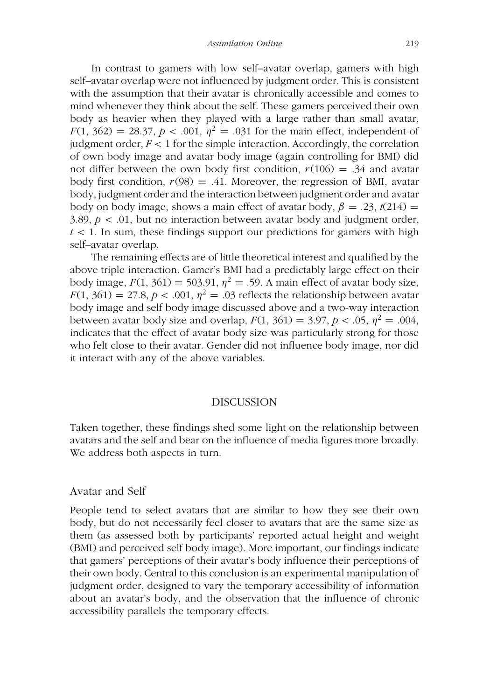In contrast to gamers with low self–avatar overlap, gamers with high self–avatar overlap were not influenced by judgment order. This is consistent with the assumption that their avatar is chronically accessible and comes to mind whenever they think about the self. These gamers perceived their own body as heavier when they played with a large rather than small avatar,  $F(1, 362) = 28.37, p < .001, \eta^2 = .031$  for the main effect, independent of judgment order,  $F < 1$  for the simple interaction. Accordingly, the correlation of own body image and avatar body image (again controlling for BMI) did not differ between the own body first condition,  $r(106) = .34$  and avatar body first condition,  $r(98) = .41$ . Moreover, the regression of BMI, avatar body, judgment order and the interaction between judgment order and avatar body on body image, shows a main effect of avatar body,  $\beta = .23$ ,  $t(214) =$ 3.89,  $p < 0.01$ , but no interaction between avatar body and judgment order,  $t < 1$ . In sum, these findings support our predictions for gamers with high self–avatar overlap.

The remaining effects are of little theoretical interest and qualified by the above triple interaction. Gamer's BMI had a predictably large effect on their body image,  $F(1, 361) = 503.91$ ,  $\eta^2 = .59$ . A main effect of avatar body size,  $F(1, 361) = 27.8, p < .001, \eta^2 = .03$  reflects the relationship between avatar body image and self body image discussed above and a two-way interaction between avatar body size and overlap,  $F(1, 361) = 3.97$ ,  $p < .05$ ,  $\eta^2 = .004$ , indicates that the effect of avatar body size was particularly strong for those who felt close to their avatar. Gender did not influence body image, nor did it interact with any of the above variables.

#### DISCUSSION

Taken together, these findings shed some light on the relationship between avatars and the self and bear on the influence of media figures more broadly. We address both aspects in turn.

#### Avatar and Self

People tend to select avatars that are similar to how they see their own body, but do not necessarily feel closer to avatars that are the same size as them (as assessed both by participants' reported actual height and weight (BMI) and perceived self body image). More important, our findings indicate that gamers' perceptions of their avatar's body influence their perceptions of their own body. Central to this conclusion is an experimental manipulation of judgment order, designed to vary the temporary accessibility of information about an avatar's body, and the observation that the influence of chronic accessibility parallels the temporary effects.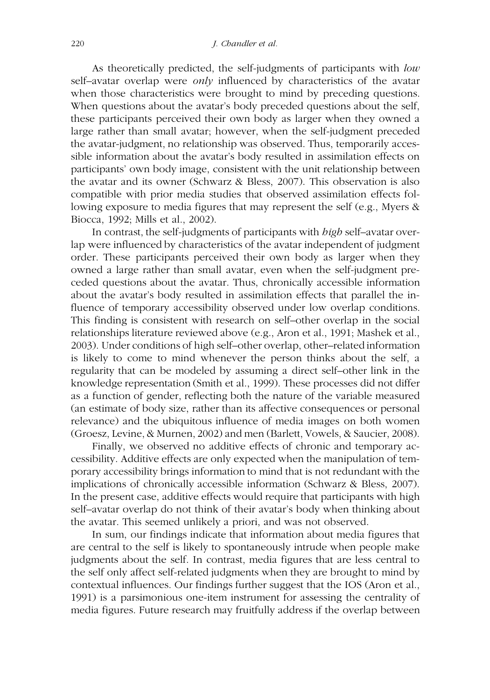As theoretically predicted, the self-judgments of participants with low self–avatar overlap were *only* influenced by characteristics of the avatar when those characteristics were brought to mind by preceding questions. When questions about the avatar's body preceded questions about the self, these participants perceived their own body as larger when they owned a large rather than small avatar; however, when the self-judgment preceded the avatar-judgment, no relationship was observed. Thus, temporarily accessible information about the avatar's body resulted in assimilation effects on participants' own body image, consistent with the unit relationship between the avatar and its owner (Schwarz & Bless, 2007). This observation is also compatible with prior media studies that observed assimilation effects following exposure to media figures that may represent the self (e.g., Myers & Biocca, 1992; Mills et al., 2002).

In contrast, the self-judgments of participants with high self–avatar overlap were influenced by characteristics of the avatar independent of judgment order. These participants perceived their own body as larger when they owned a large rather than small avatar, even when the self-judgment preceded questions about the avatar. Thus, chronically accessible information about the avatar's body resulted in assimilation effects that parallel the influence of temporary accessibility observed under low overlap conditions. This finding is consistent with research on self–other overlap in the social relationships literature reviewed above (e.g., Aron et al., 1991; Mashek et al., 2003). Under conditions of high self–other overlap, other–related information is likely to come to mind whenever the person thinks about the self, a regularity that can be modeled by assuming a direct self–other link in the knowledge representation (Smith et al., 1999). These processes did not differ as a function of gender, reflecting both the nature of the variable measured (an estimate of body size, rather than its affective consequences or personal relevance) and the ubiquitous influence of media images on both women (Groesz, Levine, & Murnen, 2002) and men (Barlett, Vowels, & Saucier, 2008).

Finally, we observed no additive effects of chronic and temporary accessibility. Additive effects are only expected when the manipulation of temporary accessibility brings information to mind that is not redundant with the implications of chronically accessible information (Schwarz & Bless, 2007). In the present case, additive effects would require that participants with high self–avatar overlap do not think of their avatar's body when thinking about the avatar. This seemed unlikely a priori, and was not observed.

In sum, our findings indicate that information about media figures that are central to the self is likely to spontaneously intrude when people make judgments about the self. In contrast, media figures that are less central to the self only affect self-related judgments when they are brought to mind by contextual influences. Our findings further suggest that the IOS (Aron et al., 1991) is a parsimonious one-item instrument for assessing the centrality of media figures. Future research may fruitfully address if the overlap between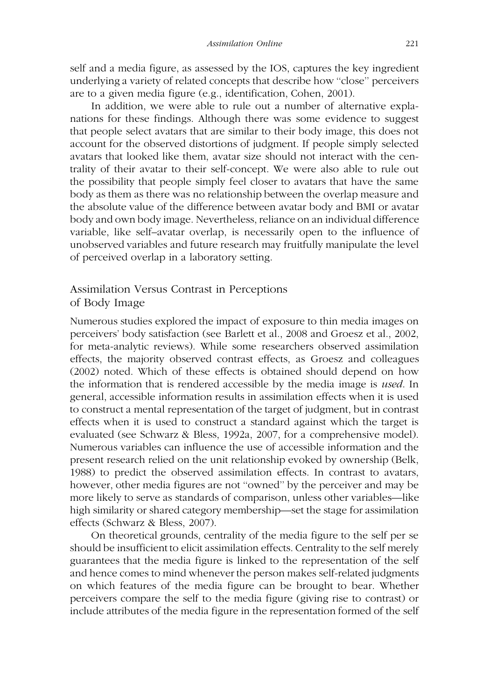self and a media figure, as assessed by the IOS, captures the key ingredient underlying a variety of related concepts that describe how ''close'' perceivers are to a given media figure (e.g., identification, Cohen, 2001).

In addition, we were able to rule out a number of alternative explanations for these findings. Although there was some evidence to suggest that people select avatars that are similar to their body image, this does not account for the observed distortions of judgment. If people simply selected avatars that looked like them, avatar size should not interact with the centrality of their avatar to their self-concept. We were also able to rule out the possibility that people simply feel closer to avatars that have the same body as them as there was no relationship between the overlap measure and the absolute value of the difference between avatar body and BMI or avatar body and own body image. Nevertheless, reliance on an individual difference variable, like self–avatar overlap, is necessarily open to the influence of unobserved variables and future research may fruitfully manipulate the level of perceived overlap in a laboratory setting.

## Assimilation Versus Contrast in Perceptions of Body Image

Numerous studies explored the impact of exposure to thin media images on perceivers' body satisfaction (see Barlett et al., 2008 and Groesz et al., 2002, for meta-analytic reviews). While some researchers observed assimilation effects, the majority observed contrast effects, as Groesz and colleagues (2002) noted. Which of these effects is obtained should depend on how the information that is rendered accessible by the media image is used. In general, accessible information results in assimilation effects when it is used to construct a mental representation of the target of judgment, but in contrast effects when it is used to construct a standard against which the target is evaluated (see Schwarz & Bless, 1992a, 2007, for a comprehensive model). Numerous variables can influence the use of accessible information and the present research relied on the unit relationship evoked by ownership (Belk, 1988) to predict the observed assimilation effects. In contrast to avatars, however, other media figures are not ''owned'' by the perceiver and may be more likely to serve as standards of comparison, unless other variables—like high similarity or shared category membership—set the stage for assimilation effects (Schwarz & Bless, 2007).

On theoretical grounds, centrality of the media figure to the self per se should be insufficient to elicit assimilation effects. Centrality to the self merely guarantees that the media figure is linked to the representation of the self and hence comes to mind whenever the person makes self-related judgments on which features of the media figure can be brought to bear. Whether perceivers compare the self to the media figure (giving rise to contrast) or include attributes of the media figure in the representation formed of the self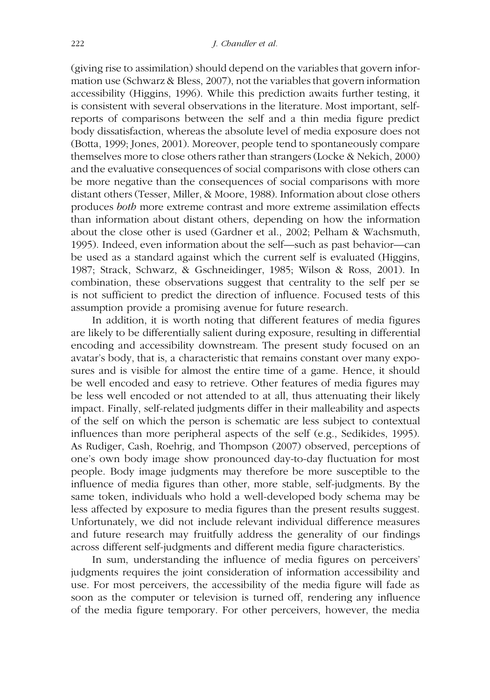(giving rise to assimilation) should depend on the variables that govern information use (Schwarz & Bless, 2007), not the variables that govern information accessibility (Higgins, 1996). While this prediction awaits further testing, it is consistent with several observations in the literature. Most important, selfreports of comparisons between the self and a thin media figure predict body dissatisfaction, whereas the absolute level of media exposure does not (Botta, 1999; Jones, 2001). Moreover, people tend to spontaneously compare themselves more to close others rather than strangers (Locke & Nekich, 2000) and the evaluative consequences of social comparisons with close others can be more negative than the consequences of social comparisons with more distant others (Tesser, Miller, & Moore, 1988). Information about close others produces both more extreme contrast and more extreme assimilation effects than information about distant others, depending on how the information about the close other is used (Gardner et al., 2002; Pelham & Wachsmuth, 1995). Indeed, even information about the self—such as past behavior—can be used as a standard against which the current self is evaluated (Higgins, 1987; Strack, Schwarz, & Gschneidinger, 1985; Wilson & Ross, 2001). In combination, these observations suggest that centrality to the self per se is not sufficient to predict the direction of influence. Focused tests of this assumption provide a promising avenue for future research.

In addition, it is worth noting that different features of media figures are likely to be differentially salient during exposure, resulting in differential encoding and accessibility downstream. The present study focused on an avatar's body, that is, a characteristic that remains constant over many exposures and is visible for almost the entire time of a game. Hence, it should be well encoded and easy to retrieve. Other features of media figures may be less well encoded or not attended to at all, thus attenuating their likely impact. Finally, self-related judgments differ in their malleability and aspects of the self on which the person is schematic are less subject to contextual influences than more peripheral aspects of the self (e.g., Sedikides, 1995). As Rudiger, Cash, Roehrig, and Thompson (2007) observed, perceptions of one's own body image show pronounced day-to-day fluctuation for most people. Body image judgments may therefore be more susceptible to the influence of media figures than other, more stable, self-judgments. By the same token, individuals who hold a well-developed body schema may be less affected by exposure to media figures than the present results suggest. Unfortunately, we did not include relevant individual difference measures and future research may fruitfully address the generality of our findings across different self-judgments and different media figure characteristics.

In sum, understanding the influence of media figures on perceivers' judgments requires the joint consideration of information accessibility and use. For most perceivers, the accessibility of the media figure will fade as soon as the computer or television is turned off, rendering any influence of the media figure temporary. For other perceivers, however, the media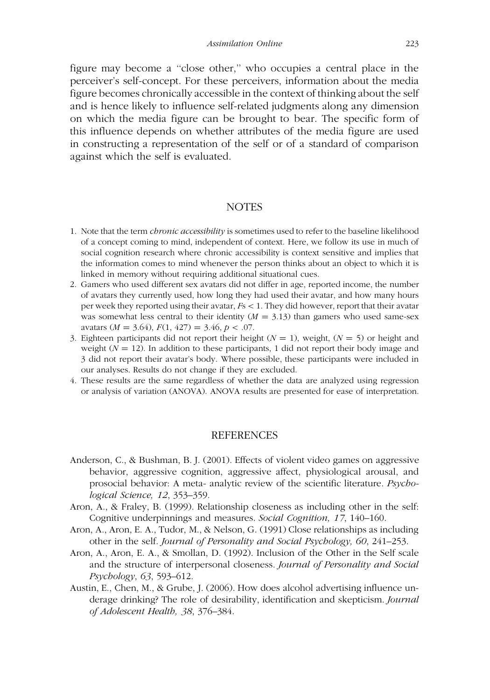figure may become a ''close other,'' who occupies a central place in the perceiver's self-concept. For these perceivers, information about the media figure becomes chronically accessible in the context of thinking about the self and is hence likely to influence self-related judgments along any dimension on which the media figure can be brought to bear. The specific form of this influence depends on whether attributes of the media figure are used in constructing a representation of the self or of a standard of comparison against which the self is evaluated.

#### **NOTES**

- 1. Note that the term *chronic accessibility* is sometimes used to refer to the baseline likelihood of a concept coming to mind, independent of context. Here, we follow its use in much of social cognition research where chronic accessibility is context sensitive and implies that the information comes to mind whenever the person thinks about an object to which it is linked in memory without requiring additional situational cues.
- 2. Gamers who used different sex avatars did not differ in age, reported income, the number of avatars they currently used, how long they had used their avatar, and how many hours per week they reported using their avatar, Fs < 1. They did however, report that their avatar was somewhat less central to their identity  $(M = 3.13)$  than gamers who used same-sex avatars ( $M = 3.64$ ),  $F(1, 427) = 3.46, p < .07$ .
- 3. Eighteen participants did not report their height ( $N = 1$ ), weight, ( $N = 5$ ) or height and weight  $(N = 12)$ . In addition to these participants, 1 did not report their body image and 3 did not report their avatar's body. Where possible, these participants were included in our analyses. Results do not change if they are excluded.
- 4. These results are the same regardless of whether the data are analyzed using regression or analysis of variation (ANOVA). ANOVA results are presented for ease of interpretation.

#### **REFERENCES**

- Anderson, C., & Bushman, B. J. (2001). Effects of violent video games on aggressive behavior, aggressive cognition, aggressive affect, physiological arousal, and prosocial behavior: A meta- analytic review of the scientific literature. Psychological Science, 12, 353–359.
- Aron, A., & Fraley, B. (1999). Relationship closeness as including other in the self: Cognitive underpinnings and measures. Social Cognition, 17, 140–160.
- Aron, A., Aron, E. A., Tudor, M., & Nelson, G. (1991) Close relationships as including other in the self. Journal of Personality and Social Psychology, 60, 241–253.
- Aron, A., Aron, E. A., & Smollan, D. (1992). Inclusion of the Other in the Self scale and the structure of interpersonal closeness. Journal of Personality and Social Psychology, 63, 593–612.
- Austin, E., Chen, M., & Grube, J. (2006). How does alcohol advertising influence underage drinking? The role of desirability, identification and skepticism. Journal of Adolescent Health, 38, 376–384.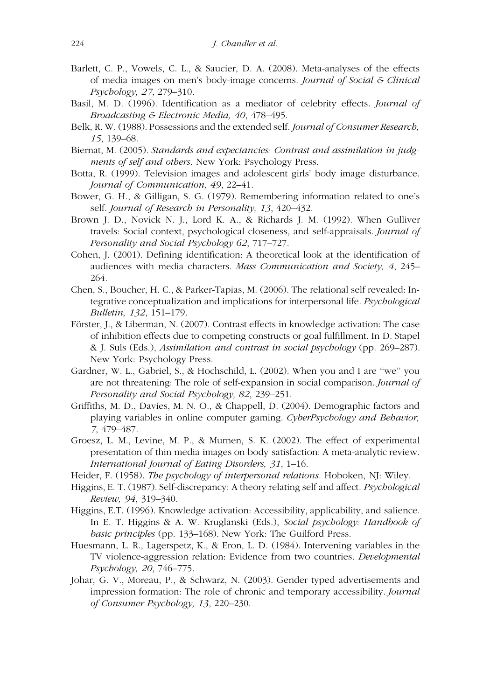- Barlett, C. P., Vowels, C. L., & Saucier, D. A. (2008). Meta-analyses of the effects of media images on men's body-image concerns. Journal of Social & Clinical Psychology, 27, 279–310.
- Basil, M. D. (1996). Identification as a mediator of celebrity effects. Journal of Broadcasting & Electronic Media, 40, 478–495.
- Belk, R. W. (1988). Possessions and the extended self. Journal of Consumer Research, 15, 139–68.
- Biernat, M. (2005). Standards and expectancies: Contrast and assimilation in judgments of self and others. New York: Psychology Press.
- Botta, R. (1999). Television images and adolescent girls' body image disturbance. Journal of Communication, 49, 22–41.
- Bower, G. H., & Gilligan, S. G. (1979). Remembering information related to one's self. Journal of Research in Personality, 13, 420–432.
- Brown J. D., Novick N. J., Lord K. A., & Richards J. M. (1992). When Gulliver travels: Social context, psychological closeness, and self-appraisals. Journal of Personality and Social Psychology 62, 717–727.
- Cohen, J. (2001). Defining identification: A theoretical look at the identification of audiences with media characters. Mass Communication and Society, 4, 245– 264.
- Chen, S., Boucher, H. C., & Parker-Tapias, M. (2006). The relational self revealed: Integrative conceptualization and implications for interpersonal life. Psychological Bulletin, 132, 151–179.
- Förster, J., & Liberman, N. (2007). Contrast effects in knowledge activation: The case of inhibition effects due to competing constructs or goal fulfillment. In D. Stapel & J. Suls (Eds.), Assimilation and contrast in social psychology (pp. 269–287). New York: Psychology Press.
- Gardner, W. L., Gabriel, S., & Hochschild, L. (2002). When you and I are ''we'' you are not threatening: The role of self-expansion in social comparison. Journal of Personality and Social Psychology, 82, 239–251.
- Griffiths, M. D., Davies, M. N. O., & Chappell, D. (2004). Demographic factors and playing variables in online computer gaming. CyberPsychology and Behavior, 7, 479–487.
- Groesz, L. M., Levine, M. P., & Murnen, S. K. (2002). The effect of experimental presentation of thin media images on body satisfaction: A meta-analytic review. International Journal of Eating Disorders, 31, 1–16.
- Heider, F. (1958). The psychology of interpersonal relations. Hoboken, NJ: Wiley.
- Higgins, E. T. (1987). Self-discrepancy: A theory relating self and affect. Psychological Review, 94, 319–340.
- Higgins, E.T. (1996). Knowledge activation: Accessibility, applicability, and salience. In E. T. Higgins & A. W. Kruglanski (Eds.), Social psychology: Handbook of basic principles (pp. 133–168). New York: The Guilford Press.
- Huesmann, L. R., Lagerspetz, K., & Eron, L. D. (1984). Intervening variables in the TV violence-aggression relation: Evidence from two countries. Developmental Psychology, 20, 746–775.
- Johar, G. V., Moreau, P., & Schwarz, N. (2003). Gender typed advertisements and impression formation: The role of chronic and temporary accessibility. Journal of Consumer Psychology, 13, 220–230.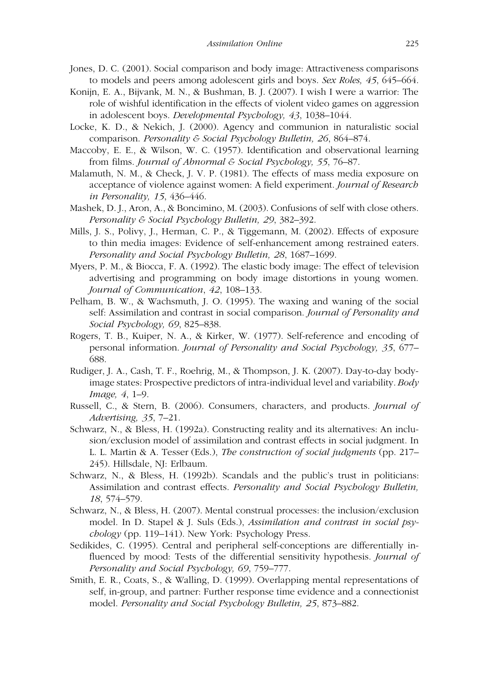- Jones, D. C. (2001). Social comparison and body image: Attractiveness comparisons to models and peers among adolescent girls and boys. Sex Roles, 45, 645–664.
- Konijn, E. A., Bijvank, M. N., & Bushman, B. J. (2007). I wish I were a warrior: The role of wishful identification in the effects of violent video games on aggression in adolescent boys. Developmental Psychology, 43, 1038–1044.
- Locke, K. D., & Nekich, J. (2000). Agency and communion in naturalistic social comparison. Personality & Social Psychology Bulletin, 26, 864–874.
- Maccoby, E. E., & Wilson, W. C. (1957). Identification and observational learning from films. Journal of Abnormal & Social Psychology, 55, 76–87.
- Malamuth, N. M., & Check, J. V. P. (1981). The effects of mass media exposure on acceptance of violence against women: A field experiment. Journal of Research in Personality, 15, 436–446.
- Mashek, D. J., Aron, A., & Boncimino, M. (2003). Confusions of self with close others. Personality & Social Psychology Bulletin, 29, 382–392.
- Mills, J. S., Polivy, J., Herman, C. P., & Tiggemann, M. (2002). Effects of exposure to thin media images: Evidence of self-enhancement among restrained eaters. Personality and Social Psychology Bulletin, 28, 1687–1699.
- Myers, P. M., & Biocca, F. A. (1992). The elastic body image: The effect of television advertising and programming on body image distortions in young women. Journal of Communication, 42, 108–133.
- Pelham, B. W., & Wachsmuth, J. O. (1995). The waxing and waning of the social self: Assimilation and contrast in social comparison. Journal of Personality and Social Psychology, 69, 825–838.
- Rogers, T. B., Kuiper, N. A., & Kirker, W. (1977). Self-reference and encoding of personal information. Journal of Personality and Social Psychology, 35, 677– 688.
- Rudiger, J. A., Cash, T. F., Roehrig, M., & Thompson, J. K. (2007). Day-to-day bodyimage states: Prospective predictors of intra-individual level and variability.  $Body$ Image, 4, 1–9.
- Russell, C., & Stern, B. (2006). Consumers, characters, and products. Journal of Advertising, 35, 7–21.
- Schwarz, N., & Bless, H. (1992a). Constructing reality and its alternatives: An inclusion/exclusion model of assimilation and contrast effects in social judgment. In L. L. Martin & A. Tesser (Eds.), The construction of social judgments (pp. 217– 245). Hillsdale, NJ: Erlbaum.
- Schwarz, N., & Bless, H. (1992b). Scandals and the public's trust in politicians: Assimilation and contrast effects. Personality and Social Psychology Bulletin, 18, 574–579.
- Schwarz, N., & Bless, H. (2007). Mental construal processes: the inclusion/exclusion model. In D. Stapel & J. Suls (Eds.), Assimilation and contrast in social psychology (pp. 119–141). New York: Psychology Press.
- Sedikides, C. (1995). Central and peripheral self-conceptions are differentially influenced by mood: Tests of the differential sensitivity hypothesis. Journal of Personality and Social Psychology, 69, 759–777.
- Smith, E. R., Coats, S., & Walling, D. (1999). Overlapping mental representations of self, in-group, and partner: Further response time evidence and a connectionist model. Personality and Social Psychology Bulletin, 25, 873–882.